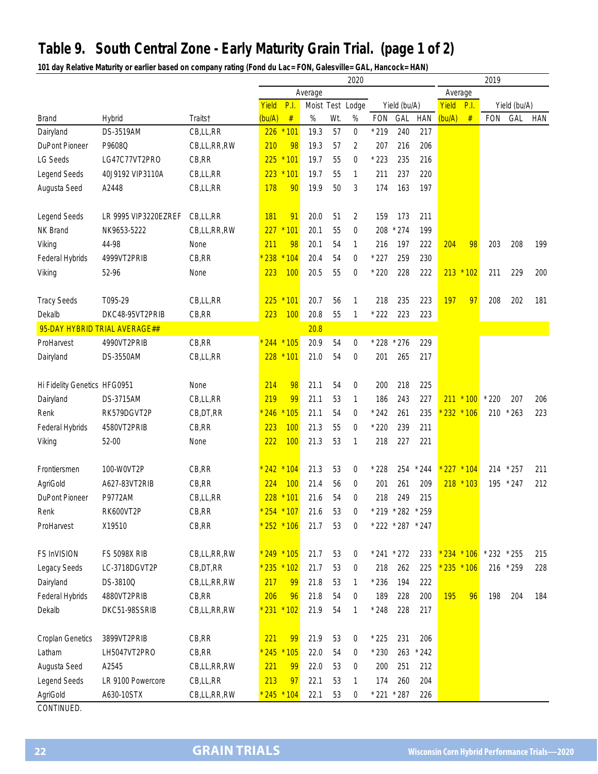## **Table 9. South Central Zone - Early Maturity Grain Trial. (page 1 of 2)**

**101 day Relative Maturity or earlier based on company rating (Fond du Lac= FON, Galesville= GAL, Hancock= HAN)**

|                              |                               |             | 2020       |                 |      |     |                                  |                   |        |            |               | 2019         |              |           |     |  |
|------------------------------|-------------------------------|-------------|------------|-----------------|------|-----|----------------------------------|-------------------|--------|------------|---------------|--------------|--------------|-----------|-----|--|
|                              |                               |             | Average    |                 |      |     |                                  |                   |        | Average    |               |              |              |           |     |  |
|                              |                               |             | Yield      | P.I.            |      |     | Moist Test Lodge<br>Yield (bu/A) |                   |        | Yield      | P.I.          | Yield (bu/A) |              |           |     |  |
| <b>Brand</b>                 | Hybrid                        | Traits†     | (bu/A)     | $\#$            | %    | Wt. | %                                | <b>FON</b>        | GAL    | <b>HAN</b> | (bu/A)        | $\#$         | <b>FON</b>   | GAL       | HAN |  |
| Dairyland                    | DS-3519AM                     | CB,LL,RR    |            | $226 * 101$     | 19.3 | 57  | $\mathbf 0$                      | $*219$            | 240    | 217        |               |              |              |           |     |  |
| <b>DuPont Pioneer</b>        | P9608Q                        | CB,LL,RR,RW | 210        | 98              | 19.3 | 57  | 2                                | 207               | 216    | 206        |               |              |              |           |     |  |
| LG Seeds                     | LG47C77VT2PRO                 | CB, RR      | 225        | $*101$          | 19.7 | 55  | $\mathbf{0}$                     | $*223$            | 235    | 216        |               |              |              |           |     |  |
| Legend Seeds                 | 40J9192 VIP3110A              | CB,LL,RR    | 223        | $*101$          | 19.7 | 55  | $\mathbf{1}$                     | 211               | 237    | 220        |               |              |              |           |     |  |
| Augusta Seed                 | A2448                         | CB,LL,RR    | 178        | 90              | 19.9 | 50  | 3                                | 174               | 163    | 197        |               |              |              |           |     |  |
|                              |                               |             |            |                 |      |     |                                  |                   |        |            |               |              |              |           |     |  |
| <b>Legend Seeds</b>          | LR 9995 VIP3220EZREF          | CB,LL,RR    | <b>181</b> | 91              | 20.0 | 51  | 2                                | 159               | 173    | 211        |               |              |              |           |     |  |
| NK Brand                     | NK9653-5222                   | CB,LL,RR,RW | 227        | $*101$          | 20.1 | 55  | $\mathbf 0$                      | 208               | $*274$ | 199        |               |              |              |           |     |  |
| Viking                       | 44-98                         | None        | 211        | 98              | 20.1 | 54  | 1                                | 216               | 197    | 222        | 204           | 98           | 203          | 208       | 199 |  |
| Federal Hybrids              | 4999VT2PRIB                   | CB, RR      | 238        | 104             | 20.4 | 54  | $\mathbf 0$                      | $*227$            | 259    | 230        |               |              |              |           |     |  |
| Viking                       | 52-96                         | None        | 223        | 100             | 20.5 | 55  | $\mathbf 0$                      | $*220$            | 228    | 222        | $213 * 102$   |              | 211          | 229       | 200 |  |
|                              |                               |             |            |                 |      |     |                                  |                   |        |            |               |              |              |           |     |  |
| <b>Tracy Seeds</b>           | T095-29                       | CB,LL,RR    |            | $225 * 101$     | 20.7 | 56  | 1                                | 218               | 235    | 223        | 197           | 97           | 208          | 202       | 181 |  |
| Dekalb                       | DKC48-95VT2PRIB               | CB,RR       | 223        | 100             | 20.8 | 55  | 1                                | $*222$            | 223    | 223        |               |              |              |           |     |  |
|                              | 95-DAY HYBRID TRIAL AVERAGE## |             |            |                 | 20.8 |     |                                  |                   |        |            |               |              |              |           |     |  |
| ProHarvest                   | 4990VT2PRIB                   | CB, RR      |            | $* 244 * 105$   | 20.9 | 54  | $\mathbf 0$                      | $*228$            | $*276$ | 229        |               |              |              |           |     |  |
| Dairyland                    | DS-3550AM                     | CB,LL,RR    | 228        | $*101$          | 21.0 | 54  | $\mathbf 0$                      | 201               | 265    | 217        |               |              |              |           |     |  |
|                              |                               |             |            |                 |      |     |                                  |                   |        |            |               |              |              |           |     |  |
| Hi Fidelity Genetics HFG0951 |                               | None        | 214        | 98              | 21.1 | 54  | $\mathbf 0$                      | 200               | 218    | 225        |               |              |              |           |     |  |
| Dairyland                    | <b>DS-3715AM</b>              | CB,LL,RR    | 219        | 99              | 21.1 | 53  | 1                                | 186               | 243    | 227        |               | $211 * 100$  | $*220$       | 207       | 206 |  |
| Renk                         | RK579DGVT2P                   | CB, DT, RR  |            | $246 * 105$     | 21.1 | 54  |                                  | $*242$            | 261    | 235        | $232 * 106$   |              |              | 210 * 263 | 223 |  |
|                              |                               |             |            |                 |      |     | 0                                |                   |        |            |               |              |              |           |     |  |
| <b>Federal Hybrids</b>       | 4580VT2PRIB                   | CB, RR      | 223        | 100             | 21.3 | 55  | $\mathbf 0$                      | $*220$            | 239    | 211        |               |              |              |           |     |  |
| Viking                       | 52-00                         | None        | 222        | 100             | 21.3 | 53  | 1                                | 218               | 227    | 221        |               |              |              |           |     |  |
|                              |                               |             |            |                 |      |     |                                  |                   |        |            |               |              |              |           |     |  |
| Frontiersmen                 | 100-W0VT2P                    | CB, RR      |            | $242 * 104$     | 21.3 | 53  | $\mathbf 0$                      | $*228$            | 254    | $*244$     | $227 * 104$   |              |              | 214 * 257 | 211 |  |
| AgriGold                     | A627-83VT2RIB                 | CB,RR       | 224        | 100             | 21.4 | 56  | $\mathbf 0$                      | 201               | 261    | 209        | $218 * 103$   |              |              | 195 * 247 | 212 |  |
| <b>DuPont Pioneer</b>        | P9772AM                       | CB,LL,RR    | 228        | $*101$          | 21.6 | 54  | $\mathbf 0$                      | 218               | 249    | 215        |               |              |              |           |     |  |
| Renk                         | <b>RK600VT2P</b>              | CB, RR      |            | $*$ 254 $*$ 107 | 21.6 | 53  | 0                                | $* 219 * 282$     |        | $*259$     |               |              |              |           |     |  |
| ProHarvest                   | X19510                        | CB, RR      |            | $* 252 * 106$   | 21.7 | 53  | $\boldsymbol{0}$                 | * 222 * 287 * 247 |        |            |               |              |              |           |     |  |
|                              |                               |             |            |                 |      |     |                                  |                   |        |            |               |              |              |           |     |  |
| FS InVISION                  | <b>FS 5098X RIB</b>           | CB,LL,RR,RW |            | $* 249 * 105$   | 21.7 | 53  | 0                                | $* 241 * 272$     |        | 233        | $* 234 * 106$ |              | $*232 * 255$ |           | 215 |  |
| <b>Legacy Seeds</b>          | LC-3718DGVT2P                 | CB, DT, RR  |            | * 235 * 102     | 21.7 | 53  | 0                                | 218               | 262    | 225        | $235 * 106$   |              |              | 216 * 259 | 228 |  |
| Dairyland                    | DS-3810Q                      | CB,LL,RR,RW | 217        | 99              | 21.8 | 53  | 1                                | $*236$            | 194    | 222        |               |              |              |           |     |  |
| Federal Hybrids              | 4880VT2PRIB                   | CB, RR      | 206        | 96              | 21.8 | 54  | 0                                | 189               | 228    | 200        | 195           | 96           | 198          | 204       | 184 |  |
| Dekalb                       | DKC51-98SSRIB                 | CB,LL,RR,RW |            | * 231 * 102     | 21.9 | 54  | 1                                | $*248$            | 228    | 217        |               |              |              |           |     |  |
|                              |                               |             |            |                 |      |     |                                  |                   |        |            |               |              |              |           |     |  |
| <b>Croplan Genetics</b>      | 3899VT2PRIB                   | CB,RR       | 221        | 99              | 21.9 | 53  | 0                                | $*225$            | 231    | 206        |               |              |              |           |     |  |
| Latham                       | LH5047VT2PRO                  | CB,RR       | 245        | $*105$          | 22.0 | 54  | 0                                | $*230$            | 263    | $*242$     |               |              |              |           |     |  |
| Augusta Seed                 | A2545                         | CB,LL,RR,RW | 221        | 99              | 22.0 | 53  | $\boldsymbol{0}$                 | 200               | 251    | 212        |               |              |              |           |     |  |
| Legend Seeds                 | LR 9100 Powercore             | CB,LL,RR    | 213        | 97              | 22.1 | 53  | 1                                | 174               | 260    | 204        |               |              |              |           |     |  |
| AgriGold                     | A630-10STX                    | CB,LL,RR,RW |            | $*$ 245 $*$ 104 | 22.1 | 53  | 0                                | $*221$            | $*287$ | 226        |               |              |              |           |     |  |
| CONTINUED.                   |                               |             |            |                 |      |     |                                  |                   |        |            |               |              |              |           |     |  |